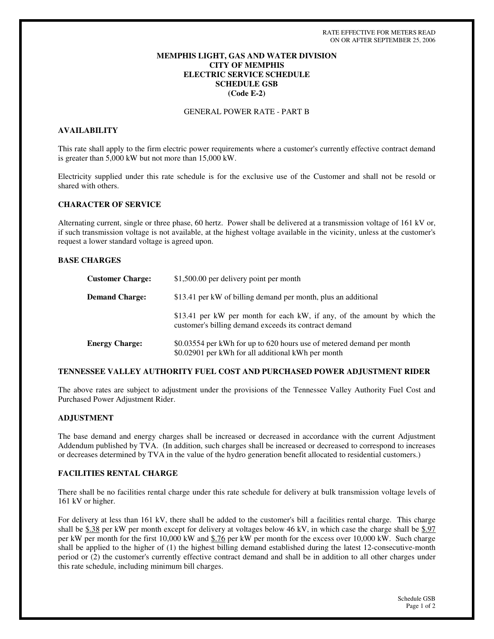# **MEMPHIS LIGHT, GAS AND WATER DIVISION CITY OF MEMPHIS ELECTRIC SERVICE SCHEDULE SCHEDULE GSB (Code E-2)**

GENERAL POWER RATE - PART B

# **AVAILABILITY**

This rate shall apply to the firm electric power requirements where a customer's currently effective contract demand is greater than 5,000 kW but not more than 15,000 kW.

Electricity supplied under this rate schedule is for the exclusive use of the Customer and shall not be resold or shared with others.

## **CHARACTER OF SERVICE**

Alternating current, single or three phase, 60 hertz. Power shall be delivered at a transmission voltage of 161 kV or, if such transmission voltage is not available, at the highest voltage available in the vicinity, unless at the customer's request a lower standard voltage is agreed upon.

### **BASE CHARGES**

| <b>Customer Charge:</b> | \$1,500.00 per delivery point per month                                                                                           |
|-------------------------|-----------------------------------------------------------------------------------------------------------------------------------|
| <b>Demand Charge:</b>   | \$13.41 per kW of billing demand per month, plus an additional                                                                    |
|                         | \$13.41 per kW per month for each kW, if any, of the amount by which the<br>customer's billing demand exceeds its contract demand |
| <b>Energy Charge:</b>   | \$0.03554 per kWh for up to 620 hours use of metered demand per month<br>\$0.02901 per kWh for all additional kWh per month       |

### **TENNESSEE VALLEY AUTHORITY FUEL COST AND PURCHASED POWER ADJUSTMENT RIDER**

The above rates are subject to adjustment under the provisions of the Tennessee Valley Authority Fuel Cost and Purchased Power Adjustment Rider.

# **ADJUSTMENT**

The base demand and energy charges shall be increased or decreased in accordance with the current Adjustment Addendum published by TVA. (In addition, such charges shall be increased or decreased to correspond to increases or decreases determined by TVA in the value of the hydro generation benefit allocated to residential customers.)

### **FACILITIES RENTAL CHARGE**

There shall be no facilities rental charge under this rate schedule for delivery at bulk transmission voltage levels of 161 kV or higher.

For delivery at less than 161 kV, there shall be added to the customer's bill a facilities rental charge. This charge shall be \$.38 per kW per month except for delivery at voltages below 46 kV, in which case the charge shall be \$.97 per kW per month for the first 10,000 kW and \$.76 per kW per month for the excess over 10,000 kW. Such charge shall be applied to the higher of (1) the highest billing demand established during the latest 12-consecutive-month period or (2) the customer's currently effective contract demand and shall be in addition to all other charges under this rate schedule, including minimum bill charges.